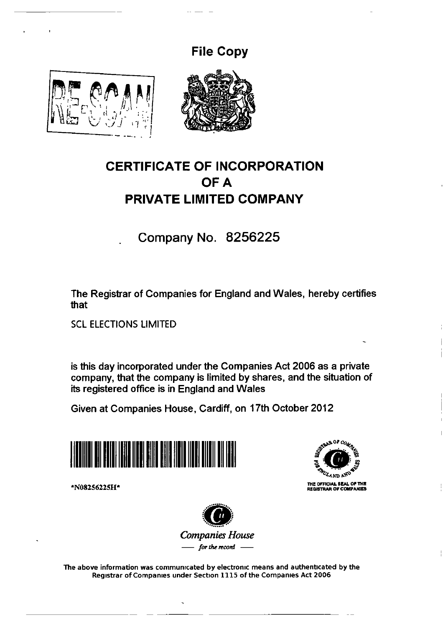## **File Copy**





## **CERTIFICATE OF INCORPORATION OFA PRIVATE LIMITED COMPANY**

Company No. 8256225

The Registrar of Companies for England and Wales, hereby certifies that

SCL ELECTIONS LIMITED

is this day incorporated under the Companies Act 2006 as a private company, that the company is limited by shares, and the situation of its registered office is in England and Wales

Given at Companies House, Cardiff, on 17th October 2012





\*N082S622SH\*



The above information was communrcated by electronrc means and authenticated by the Registrar of Companies under Section 1115 of the Companies Act 2006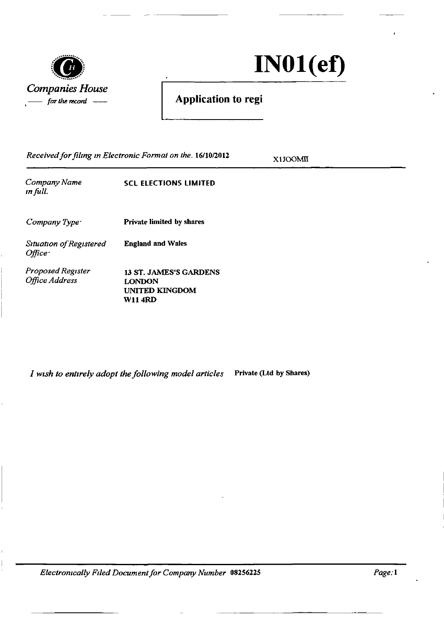

 $IN01(ef)$ 

## *for the record* -- **Application to regi**

*Received for filmg m Electronic Format on the.* 16/10/2012

XlJOOMII

| Company Name<br>in full.             | SCL ELECTIONS LIMITED            |
|--------------------------------------|----------------------------------|
| $Company Type+$                      | <b>Private limited by shares</b> |
| Situation of Registered<br>$Office+$ | <b>England and Wales</b>         |
| Proposed Register<br>Office Address  | 13 ST. JAMES'S GARDENS<br>LONDON |

*I wish to entirely adopt the following model articles* Private (Ltd by Shares)

UNITED KINGDOM

Wll4RD

*Electromcalfy Fzled Document for Company Number* 08256225 *Page:1*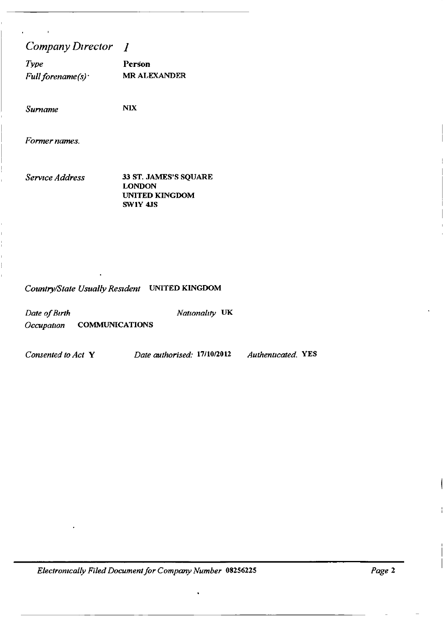## *Company D1rector* 1

| Type                | <b>Person</b>       |
|---------------------|---------------------|
| Full forename $(s)$ | <b>MR ALEXANDER</b> |

*Surname* NIX

*Former names.* 

*Serv1ce Address* 33 ST. JAMES'S SQUARE LONDON UNITED KINGDOM SW1Y 4JS

## *Country/Stale Usually Res1denl* UNITED KINGDOM

| Date of Birth |                       | Nationality UK |  |
|---------------|-----------------------|----------------|--|
| Occupation    | <b>COMMUNICATIONS</b> |                |  |

*Consented to Act* Y *Date authorised:* 17110/2012 *Authenticated.* YES

*Electromcally Filed Document for Company Number* 08256225 *Page* 2

 $\bullet$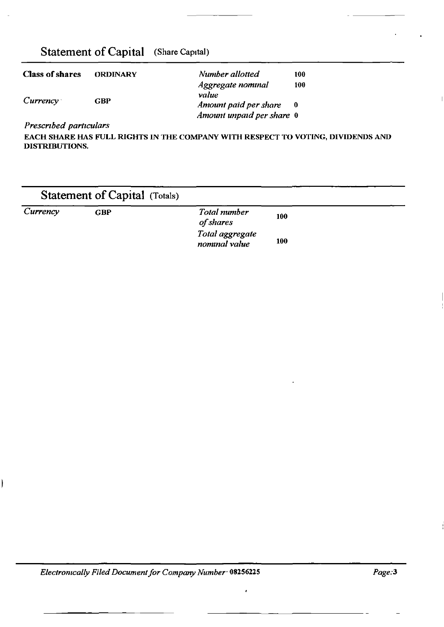## Statement of Capital (Share Capital)

| <b>Class of shares</b> | <b>ORDINARY</b> | Number allotted            | 100 |
|------------------------|-----------------|----------------------------|-----|
|                        |                 | Aggregate nominal<br>value | 100 |
| $Currency^-$           | GBP             | Amount paid per share      |     |
|                        |                 | Amount unpaid per share 0  |     |

*Prescnbed particulars* 

I

EACH SHARE HAS FULL RIGHTS IN THE COMPANY WITH RESPECT TO VOTING, DIVIDENDS AND DISTRIBUTIONS.

|          | <b>Statement of Capital (Totals)</b> |                                  |     |  |
|----------|--------------------------------------|----------------------------------|-----|--|
| Currency | <b>GBP</b>                           | Total number<br>of shares        | 100 |  |
|          |                                      | Total aggregate<br>nominal value | 100 |  |

*Electromcally Filed Document for Company Number* 08256225

 $\ddot{\phantom{0}}$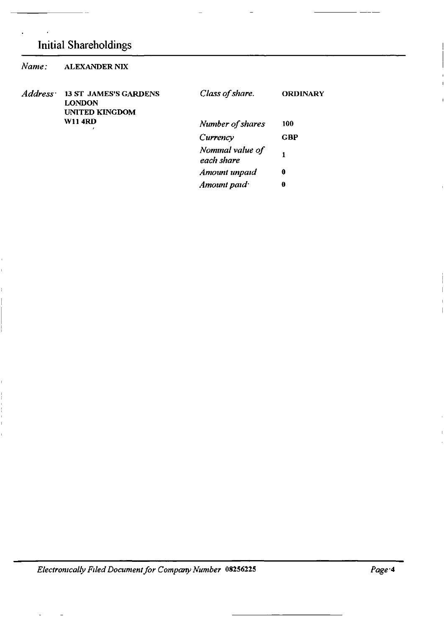## Initial Shareholdings

| Name:                | <b>ALEXANDER NIX</b>                                                   |                                |                 |
|----------------------|------------------------------------------------------------------------|--------------------------------|-----------------|
| Address <sup>·</sup> | <b>13 ST JAMES'S GARDENS</b><br><b>LONDON</b><br><b>UNITED KINGDOM</b> | Class of share.                | <b>ORDINARY</b> |
|                      | <b>W11 4RD</b>                                                         | Number of shares               | 100             |
|                      |                                                                        | Currency                       | <b>GBP</b>      |
|                      |                                                                        | Nominal value of<br>each share |                 |
|                      |                                                                        | Amount unpaid                  | $\mathbf 0$     |
|                      |                                                                        | Amount paid                    | 0               |

*Electromcally Filed Document for Company Number* 08256225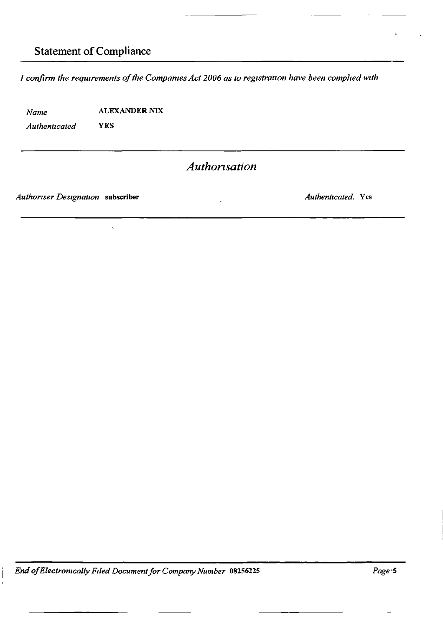## Statement of Compliance

*I confirm the requirements of the Companies Act 2006 as to registration have been complied with* 

*Name*  ALEXANDER NIX

*Authenticated* 

YES

## *Authonsation*

*Authoriser Designation* subscriber

*Authenticated.* Yes

*End ofElectromcalfy F1/ed Document for Company Number* 08256225

*Page·5*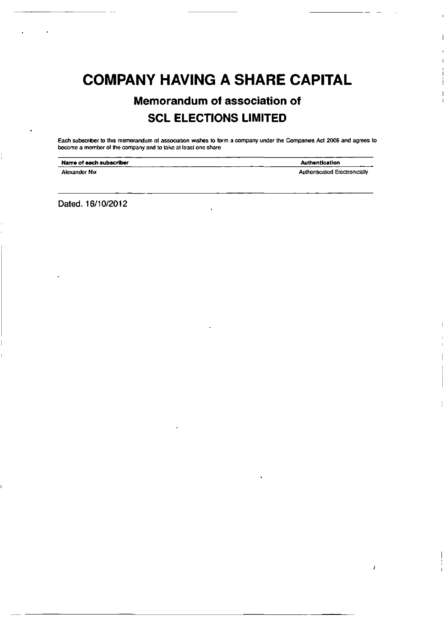## COMPANY HAVING A SHARE CAPITAL

## Memorandum of association of SCL ELECTIONS LIMITED

Each subscriber to this memorandum of association wishes to form a company under the Companies Act 2006 and agrees to become a member of the company and to take at least one share

| Name of each subscriber | <b>Authentication</b>               |
|-------------------------|-------------------------------------|
| Alexander Nix           | <b>Authenticated Electronically</b> |

 $\overline{1}$ 

Dated. 16/10/2012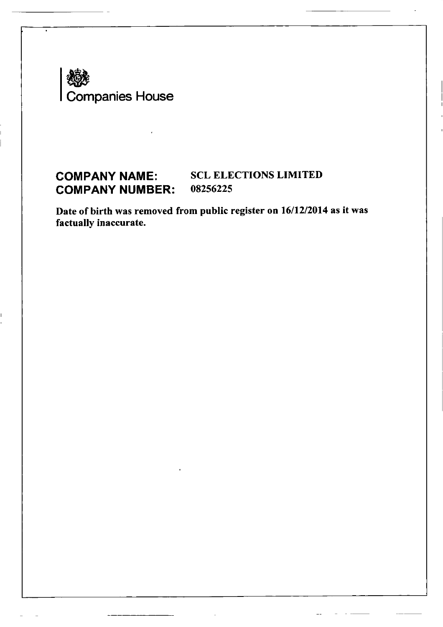

## **COMPANY NAME:** SCL ELECTIONS LIMITED<br>**COMPANY NUMBER:** 08256225 **COMPANY NUMBER:**

Date of birth was removed from public register on 16/12/2014 as it was factually inaccurate.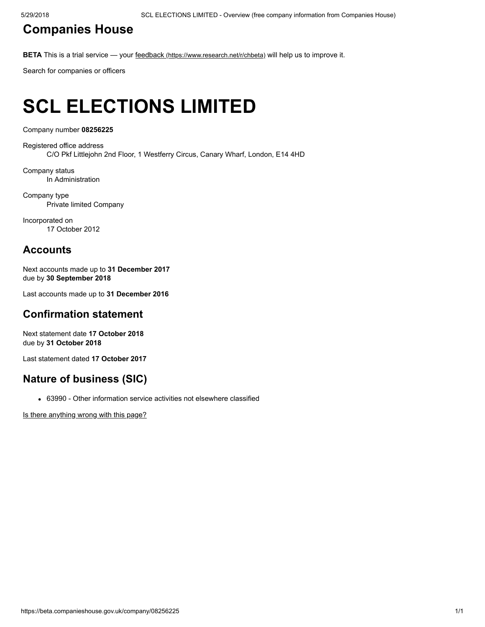### [Companies](https://beta.companieshouse.gov.uk/) House

BETA This is a trial service — your feedback [\(https://www.research.net/r/chbeta\)](https://www.research.net/r/chbeta) will help us to improve it.

Search for companies or officers

# SCL ELECTIONS LIMITED

Company number 08256225

Registered office address C/O Pkf Littlejohn 2nd Floor, 1 Westferry Circus, Canary Wharf, London, E14 4HD

Company status In Administration

Company type Private limited Company

Incorporated on 17 October 2012

### Accounts

Next accounts made up to 31 December 2017 due by 30 September 2018

Last accounts made up to 31 December 2016

### Confirmation statement

Next statement date 17 October 2018 due by 31 October 2018

Last statement dated 17 October 2017

### Nature of business (SIC)

63990 - Other information service activities not elsewhere classified

[Is there anything wrong with this page?](javascript:void(0);)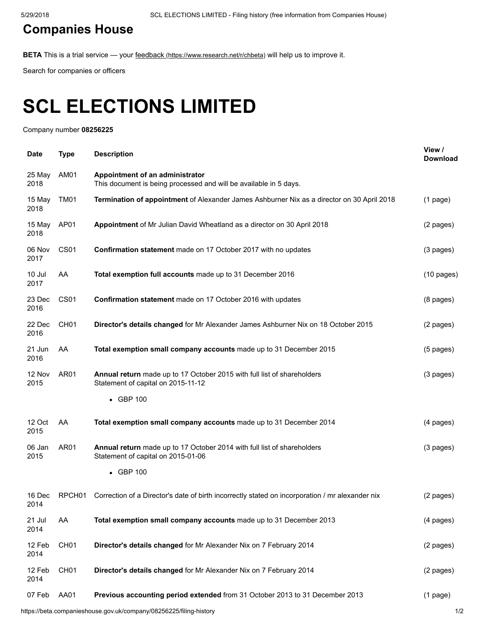## [Companies](https://beta.companieshouse.gov.uk/) House

BETA This is a trial service — your feedback [\(https://www.research.net/r/chbeta\)](https://www.research.net/r/chbeta) will help us to improve it.

Search for companies or officers

# SCL ELECTIONS LIMITED

Company number 08256225

| <b>Date</b>    | <b>Type</b>        | <b>Description</b>                                                                                            | View /<br><b>Download</b> |
|----------------|--------------------|---------------------------------------------------------------------------------------------------------------|---------------------------|
| 25 May<br>2018 | AM01               | Appointment of an administrator<br>This document is being processed and will be available in 5 days.          |                           |
| 15 May<br>2018 | TM01               | Termination of appointment of Alexander James Ashburner Nix as a director on 30 April 2018                    | $(1$ page)                |
| 15 May<br>2018 | AP01               | Appointment of Mr Julian David Wheatland as a director on 30 April 2018                                       | (2 pages)                 |
| 06 Nov<br>2017 | CS <sub>01</sub>   | Confirmation statement made on 17 October 2017 with no updates                                                | $(3$ pages)               |
| 10 Jul<br>2017 | AA                 | Total exemption full accounts made up to 31 December 2016                                                     | $(10 \text{ pages})$      |
| 23 Dec<br>2016 | CS <sub>01</sub>   | Confirmation statement made on 17 October 2016 with updates                                                   | $(8 \text{ pages})$       |
| 22 Dec<br>2016 | CH <sub>01</sub>   | Director's details changed for Mr Alexander James Ashburner Nix on 18 October 2015                            | (2 pages)                 |
| 21 Jun<br>2016 | AA                 | Total exemption small company accounts made up to 31 December 2015                                            | $(5$ pages)               |
| 12 Nov<br>2015 | AR01               | Annual return made up to 17 October 2015 with full list of shareholders<br>Statement of capital on 2015-11-12 | $(3$ pages)               |
|                |                    | • GBP 100                                                                                                     |                           |
| 12 Oct<br>2015 | AA                 | Total exemption small company accounts made up to 31 December 2014                                            | (4 pages)                 |
| 06 Jan<br>2015 | AR01               | Annual return made up to 17 October 2014 with full list of shareholders<br>Statement of capital on 2015-01-06 | (3 pages)                 |
|                |                    | • GBP 100                                                                                                     |                           |
| 16 Dec<br>2014 | RPCH <sub>01</sub> | Correction of a Director's date of birth incorrectly stated on incorporation / mr alexander nix               | (2 pages)                 |
| 21 Jul<br>2014 | AA                 | Total exemption small company accounts made up to 31 December 2013                                            | (4 pages)                 |
| 12 Feb<br>2014 | CH <sub>01</sub>   | Director's details changed for Mr Alexander Nix on 7 February 2014                                            | (2 pages)                 |
| 12 Feb<br>2014 | CH <sub>01</sub>   | Director's details changed for Mr Alexander Nix on 7 February 2014                                            | (2 pages)                 |
| 07 Feb         | AA01               | Previous accounting period extended from 31 October 2013 to 31 December 2013                                  | $(1$ page)                |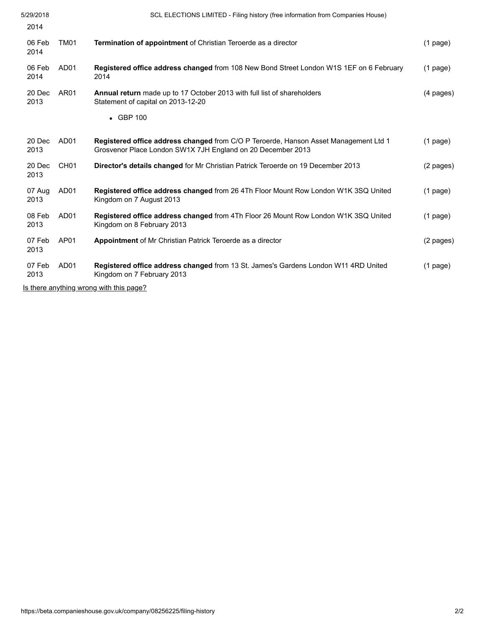| 5/29/2018<br>2014                                  | SCL ELECTIONS LIMITED - Filing history (free information from Companies House)                                                                      |                     |
|----------------------------------------------------|-----------------------------------------------------------------------------------------------------------------------------------------------------|---------------------|
| 06 Feb<br>TM01<br>2014                             | <b>Termination of appointment</b> of Christian Teroerde as a director                                                                               | $(1$ page)          |
| 06 Feb<br>AD <sub>01</sub><br>2014                 | <b>Registered office address changed from 108 New Bond Street London W1S 1EF on 6 February</b><br>2014                                              | $(1$ page)          |
| 20 Dec<br>AR <sub>01</sub><br>2013                 | <b>Annual return</b> made up to 17 October 2013 with full list of shareholders<br>Statement of capital on 2013-12-20                                | $(4 \text{ pages})$ |
|                                                    | $\bullet$ GBP 100                                                                                                                                   |                     |
| AD <sub>01</sub><br>20 Dec<br>2013                 | Registered office address changed from C/O P Teroerde, Hanson Asset Management Ltd 1<br>Grosvenor Place London SW1X 7JH England on 20 December 2013 | $(1$ page)          |
| 20 Dec<br>CH <sub>01</sub><br>2013                 | Director's details changed for Mr Christian Patrick Teroerde on 19 December 2013                                                                    | (2 pages)           |
| AD <sub>01</sub><br>07 Aug<br>2013                 | <b>Registered office address changed from 26 4Th Floor Mount Row London W1K 3SQ United</b><br>Kingdom on 7 August 2013                              | $(1$ page)          |
| 08 Feb<br>AD <sub>01</sub><br>2013                 | <b>Registered office address changed from 4Th Floor 26 Mount Row London W1K 3SQ United</b><br>Kingdom on 8 February 2013                            | $(1$ page)          |
| AP01<br>07 Feb<br>2013                             | <b>Appointment of Mr Christian Patrick Teroerde as a director</b>                                                                                   | (2 pages)           |
| 07 Feb<br>AD <sub>01</sub><br>2013                 | <b>Registered office address changed from 13 St. James's Gardens London W11 4RD United</b><br>Kingdom on 7 February 2013                            | $(1$ page)          |
| $\ln$ there enuthing wrong with this nego $\Omega$ |                                                                                                                                                     |                     |

[Is there anything wrong with this page?](javascript:void(0);)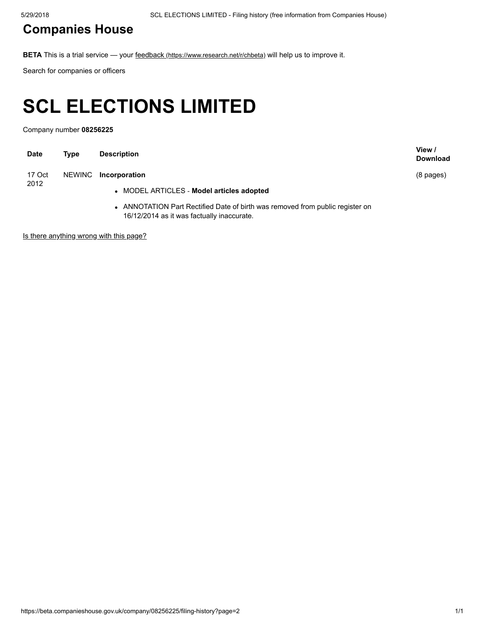## [Companies](https://beta.companieshouse.gov.uk/) House

BETA This is a trial service — your feedback [\(https://www.research.net/r/chbeta\)](https://www.research.net/r/chbeta) will help us to improve it.

Search for companies or officers

# SCL ELECTIONS LIMITED

Company number 08256225

| <b>Date</b> | Type   | <b>Description</b>                                                                                                          | View /<br><b>Download</b> |
|-------------|--------|-----------------------------------------------------------------------------------------------------------------------------|---------------------------|
| 17 Oct      | NEWINC | Incorporation                                                                                                               | $(8 \text{ pages})$       |
| 2012        |        | • MODEL ARTICLES - Model articles adopted                                                                                   |                           |
|             |        | • ANNOTATION Part Rectified Date of birth was removed from public register on<br>16/12/2014 as it was factually inaccurate. |                           |

[Is there anything wrong with this page?](javascript:void(0);)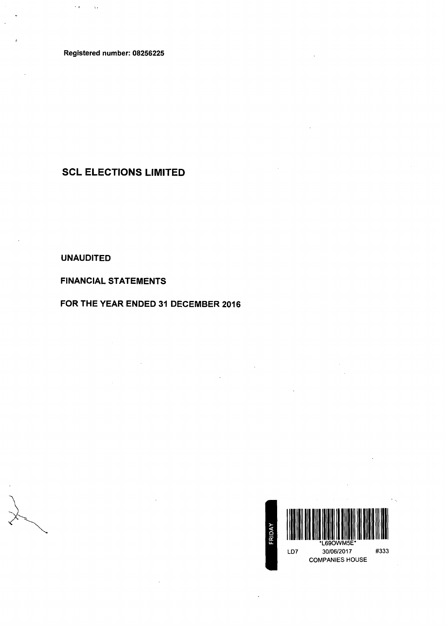Registered number: 08256225

 $\sim r$ 

 $\Delta$  .

SCL ELECTIONS LIMITED

UNAUDITED

FINANCIAL STATEMENTS

FOR THE YEAR ENDED 31 DECEMBER 2016

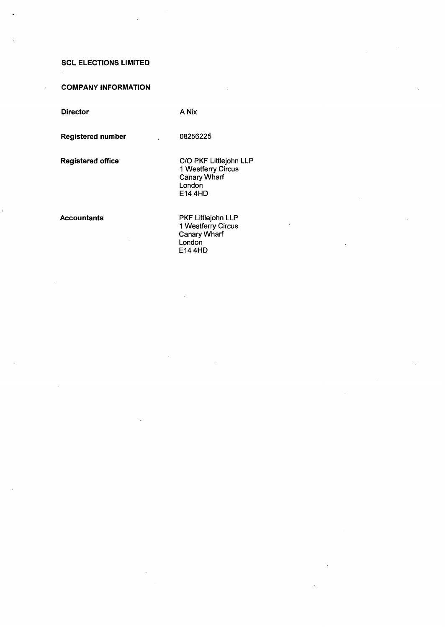### COMPANY INFORMATION

Director

A Nix

08256225

Registered number

Registered office

C/0 PKF Littlejohn LLP 1 Westferry Circus Canary Wharf London E144HD

#### Accountants

PKF Littlejohn LLP 1 Westferry Circus Canary Wharf London E144HD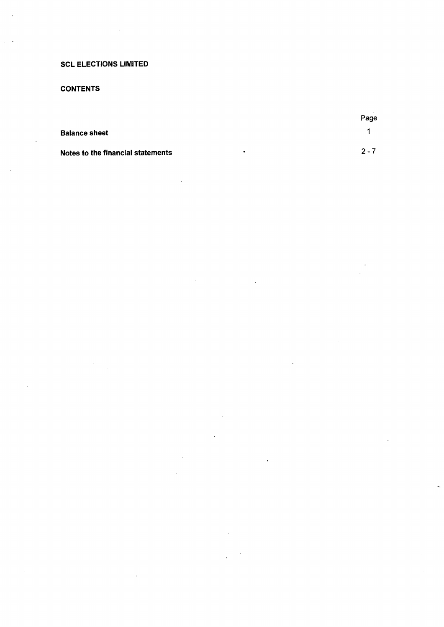### **CONTENTS**

|                                   |           | Page    |
|-----------------------------------|-----------|---------|
| <b>Balance sheet</b>              |           |         |
| Notes to the financial statements | $\bullet$ | $2 - 7$ |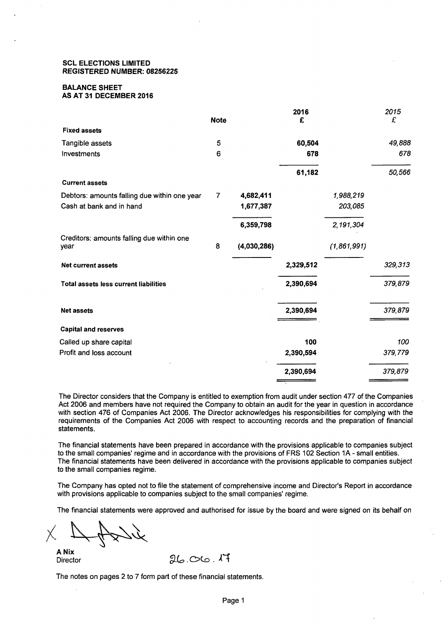#### SCL ELECTIONS LIMITED REGISTERED NUMBER: 08256225

### BALANCE SHEET

### AS AT 31 DECEMBER 2016

|                                                   | <b>Note</b>    |             | 2016<br>£ |             | 2015<br>£ |
|---------------------------------------------------|----------------|-------------|-----------|-------------|-----------|
| <b>Fixed assets</b>                               |                |             |           |             |           |
| Tangible assets                                   | 5              |             | 60,504    |             | 49,888    |
| Investments                                       | 6              |             | 678       |             | 678       |
|                                                   |                |             | 61,182    |             | 50,566    |
| <b>Current assets</b>                             |                |             |           |             |           |
| Debtors: amounts falling due within one year      | $\overline{7}$ | 4,682,411   |           | 1,988,219   |           |
| Cash at bank and in hand                          |                | 1,677,387   |           | 203,085     |           |
|                                                   |                | 6,359,798   |           | 2,191,304   |           |
| Creditors: amounts falling due within one<br>year | 8              | (4,030,286) |           | (1,861,991) |           |
| <b>Net current assets</b>                         |                |             | 2,329,512 |             | 329,313   |
| <b>Total assets less current liabilities</b>      |                |             | 2,390,694 |             | 379,879   |
| <b>Net assets</b>                                 |                |             | 2,390,694 |             | 379,879   |
| <b>Capital and reserves</b>                       |                |             |           |             |           |
| Called up share capital                           |                |             | 100       |             | 100       |
| Profit and loss account                           |                |             | 2,390,594 |             | 379,779   |
|                                                   |                |             | 2,390,694 |             | 379,879   |

The Director considers that the Company is entitled to exemption from audit under section 477 of the Companies Act 2006 and members have not required the Company to obtain an audit for the year in question in accordance with section 476 of Companies Act 2006. The Director acknowledges his responsibilities for complying with the requirements of the Companies Act 2006 with respect to accounting records and the preparation of financial statements.

The financial statements have been prepared in accordance with the provisions applicable to companies subject to the small companies' regime and in accordance with the provisions of FRS 102 Section 1A- small entities. The financial statements have been delivered in accordance with the provisions applicable to companies subject to the small companies regime.

The Company has opted not to file the statement of comprehensive income and Director's Report in accordance with provisions applicable to companies subject to the small companies' regime.

The financial statements were approved and authorised for issue by the board and were signed on its behalf on

 $X \rightarrow 4$ 

**Director** 

The notes on pages 2 to 7 form part of these financial statements.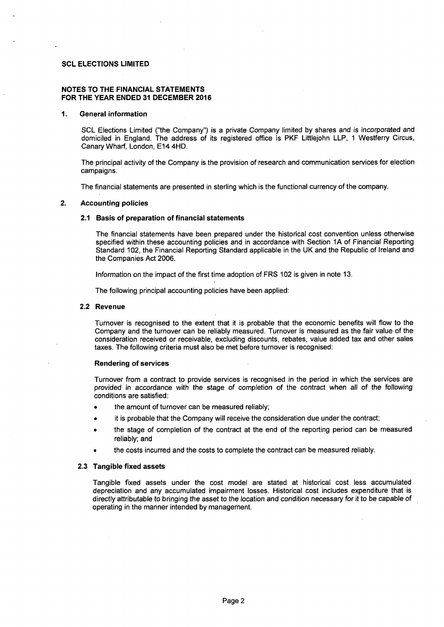#### NOTES TO THE FINANCIAL STATEMENTS FOR THE YEAR ENDED 31 DECEMBER 2016

#### 1. General information

SCL Elections Limited ("the Company") is a private Company limited by shares and is incorporated and domiciled in England. The address of its registered office is PKF Littlejohn LLP, 1 Westferry Circus, Canary Wharf, London, E14 4HD.

The principal activity of the Company is the provision of research and communication services for election campaigns.

The financial statements are presented in sterling which is the functional currency of the company.

#### 2. Accounting policies

#### 2.1 Basis of preparation of financial statements

The financial statements have been prepared under the historical cost convention unless otherwise specified within these accounting policies and in accordance with Section 1A of Financial Reporting Standard 102, the Financial Reporting Standard applicable in the UK and the Republic of Ireland and the Companies Act 2006.

Information on the impact of the first time adoption of FRS 102 is given in note 13.

The following principal accounting policies have been applied:

#### 2.2 Revenue

Turnover is recognised to the extent that it is probable that the economic benefits will flow to the Company and the turnover can be reliably measured. Turnover is measured as the fair value of the consideration received or receivable, excluding discounts, rebates, value added tax and other sales taxes. The following criteria must also be met before turnover is recognised:

#### Rendering of services

Turnover from a contract to provide services is recognised in the period in which the services are provided in accordance with the stage of completion of the contract when all of the following conditions are satisfied:

- the amount of turnover can be measured reliably;
- it is probable that the Company will receive the consideration due under the contract;
- the stage of completion of the contract at the end of the reporting period can be measured reliably; and
- the costs incurred and the costs to complete the contract can be measured reliably.

#### 2.3 Tangible fixed assets

Tangible fixed assets under the cost model are stated at historical cost less accumulated depreciation and any accumulated impairment losses. Historical cost includes expenditure that is directly attributable to bringing the asset to the location and condition necessary for it to be capable of operating in the manner intended by management.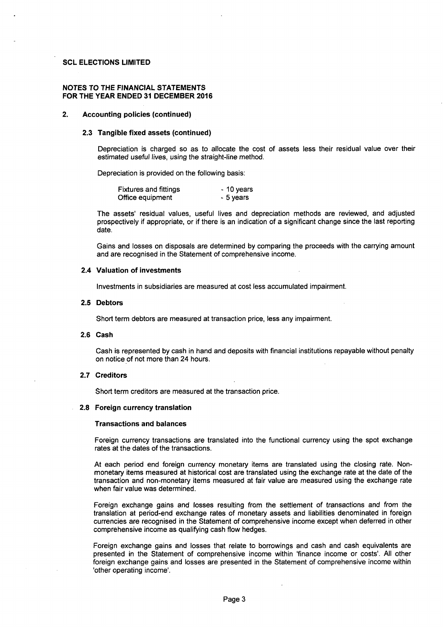#### NOTES TO THE FINANCIAL STATEMENTS FOR THE YEAR ENDED 31 DECEMBER 2016

#### 2. Accounting policies (continued)

#### 2.3 Tangible fixed assets (continued)

Depreciation is charged so as to allocate the cost of assets less their residual value over their estimated useful lives, using the straight-line method.

Depreciation is provided on the following basis:

| <b>Fixtures and fittings</b> | - 10 years |
|------------------------------|------------|
| Office equipment             | - 5 years  |

The assets' residual values, useful lives and depreciation methods are reviewed, and adjusted prospectively if appropriate, or if there is an indication of a significant change since the last reporting date.

Gains and losses on disposals are determined by comparing the proceeds with the carrying amount and are recognised in the Statement of comprehensive income.

#### 2.4 Valuation of investments

Investments in subsidiaries are measured at cost less accumulated impairment.

#### 2.5 Debtors

Short term debtors are measured at transaction price, less any impairment.

#### 2.6 Cash

Cash is represented by cash in hand and deposits with financial institutions repayable without penalty on notice of not more than 24 hours.

#### 2.7 Creditors

Short term creditors are measured at the transaction price.

#### 2.8 Foreign currency translation

#### Transactions and balances

Foreign currency transactions are translated into the functional currency using the spot exchange rates at the dates of the transactions.

At each period end foreign currency monetary items are translated using the closing rate. Nonmonetary items measured at historical cost are translated using the exchange rate at the date of the transaction and non-monetary items measured at fair value are measured using the exchange rate when fair value was determined.

Foreign exchange gains and losses resulting from the settlement of transactions and from the translation at period-end exchange rates of monetary assets and liabilities denominated in foreign currencies are recognised in the Statement of comprehensive income except when deferred in other comprehensive income as qualifying cash flow hedges.

Foreign exchange gains and losses that relate to borrowings and cash and cash equivalents are presented in the Statement of comprehensive income within 'finance income or costs'. All other foreign exchange gains and losses are presented in the Statement of comprehensive income within 'other operating income'.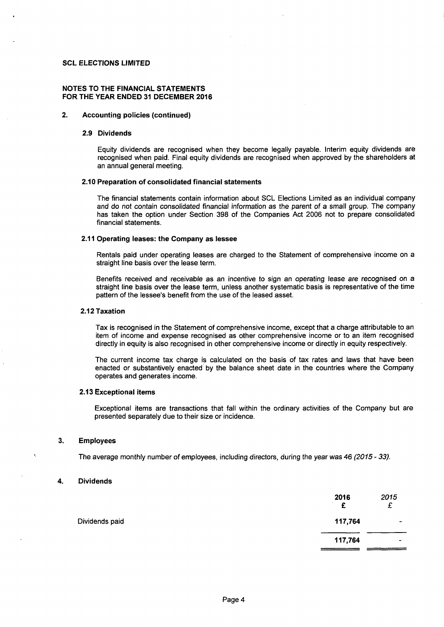#### **NOTES TO THE FINANCIAL STATEMENTS FOR THE YEAR ENDED 31 DECEMBER 2016**

#### **2. Accounting policies (continued)**

#### **2.9 Dividends**

Equity dividends are recognised when they become legally payable. Interim equity dividends are recognised when paid. Final equity dividends are recognised when approved by the shareholders at an annual general meeting.

#### **2.10 Preparation of consolidated financial statements**

The financial statements contain information about SCL Elections Limited as an individual company and do not contain consolidated financial information as the parent of a small group. The company has taken the option under Section 398 of the Companies Act 2006 not to prepare consolidated financial statements.

#### **2.11 Operating leases: the Company as lessee**

Rentals paid under operating leases are charged to the Statement of comprehensive income on a straight line basis over the lease term.

Benefits received and receivable as an incentive to sign an operating lease are recognised on a straight line basis over the lease term, unless another systematic basis is representative of the time pattern of the lessee's benefit from the use of the leased asset.

#### **2.12 Taxation**

Tax is recognised in the Statement of comprehensive income, except that a charge attributable to an item of income and expense recognised as other comprehensive income or to an item recognised directly in equity is also recognised in other comprehensive income or directly in equity respectively.

The current income tax charge is calculated on the basis of tax rates and laws that have been enacted or substantively enacted by the balance sheet date in the countries where the Company operates and generates income.

#### **2.13 Exceptional items**

Exceptional items are transactions that fall within the ordinary activities of the Company but are presented separately due to their size or incidence.

#### **3. Employees**

The average monthly number of employees, including directors, during the year was 46 (2015- 33).

#### **4. Dividends**

|                | 2016<br>£ | 2015<br>£     |
|----------------|-----------|---------------|
| Dividends paid | 117,764   | $\rightarrow$ |
|                | 117,764   | -             |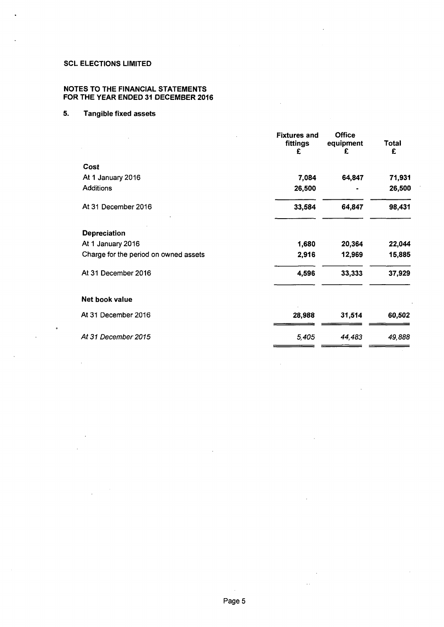#### NOTES TO THE FINANCIAL STATEMENTS FOR THE YEAR ENDED 31 DECEMBER 2016

### 5. Tangible fixed assets

|                                       | <b>Fixtures and</b><br>fittings<br>£ | <b>Office</b><br>equipment<br>£ | <b>Total</b><br>£ |
|---------------------------------------|--------------------------------------|---------------------------------|-------------------|
| Cost                                  |                                      |                                 |                   |
| At 1 January 2016                     | 7,084                                | 64,847                          | 71,931            |
| <b>Additions</b>                      | 26,500                               |                                 | 26,500            |
| At 31 December 2016                   | 33,584                               | 64,847                          | 98,431            |
| <b>Depreciation</b>                   |                                      |                                 |                   |
| At 1 January 2016                     | 1,680                                | 20,364                          | 22,044            |
| Charge for the period on owned assets | 2,916                                | 12,969                          | 15,885            |
| At 31 December 2016                   | 4,596                                | 33,333                          | 37,929            |
| Net book value                        |                                      |                                 |                   |
| At 31 December 2016                   | 28,988                               | 31,514                          | 60,502            |
| At 31 December 2015                   | 5,405                                | 44,483                          | 49,888            |

 $\mathcal{L}^{(1)}$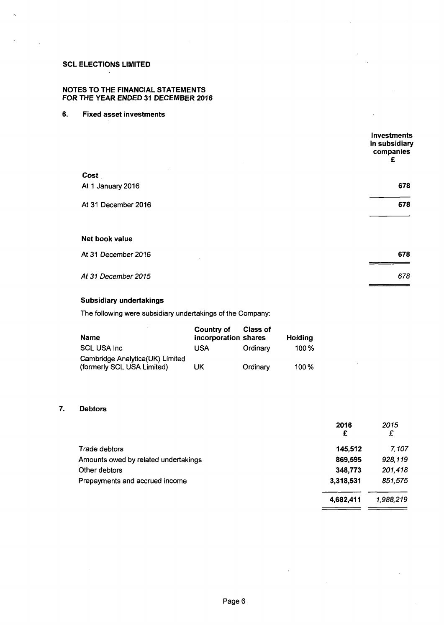$\tilde{\mathcal{D}}$ 

#### NOTES TO THE FINANCIAL STATEMENTS FOR THE YEAR ENDED 31 DECEMBER 2016

#### 6. Fixed asset investments

|                     | Investments<br>in subsidiary<br>companies<br>£ |
|---------------------|------------------------------------------------|
| Cost                |                                                |
| At 1 January 2016   | 678                                            |
| At 31 December 2016 | 678                                            |
|                     |                                                |
| Net book value      |                                                |

| At 31 December 2016 | 678 |
|---------------------|-----|
|                     |     |
| At 31 December 2015 | 678 |
|                     |     |

#### Subsidiary undertakings

The following were subsidiary undertakings of the Company:

| Name                                                          | Country of<br>incorporation shares | <b>Class of</b> | Holding |
|---------------------------------------------------------------|------------------------------------|-----------------|---------|
| <b>SCL USA Inc.</b>                                           | USA                                | Ordinary        | 100%    |
| Cambridge Analytica(UK) Limited<br>(formerly SCL USA Limited) | UK                                 | Ordinary        | $100\%$ |

#### 7. Debtors

|                                      | 2016<br>£ | 2015<br>£ |
|--------------------------------------|-----------|-----------|
| Trade debtors                        | 145,512   | 7.107     |
| Amounts owed by related undertakings | 869,595   | 928,119   |
| Other debtors                        | 348,773   | 201,418   |
| Prepayments and accrued income       | 3,318,531 | 851,575   |
|                                      | 4,682,411 | 1,988,219 |
|                                      |           |           |

 $\sim$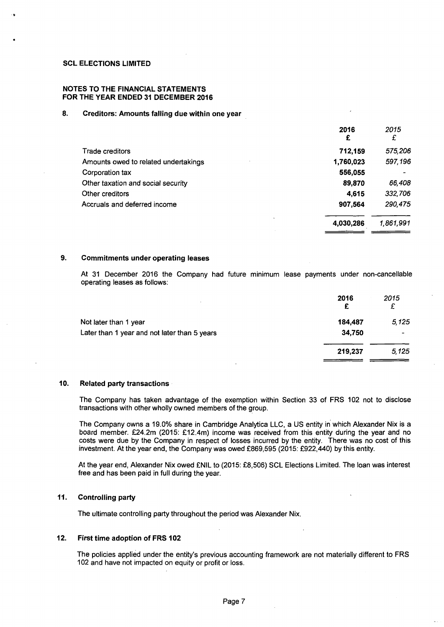..

#### NOTES TO THE FINANCIAL STATEMENTS FOR THE YEAR ENDED 31 DECEMBER 2016

#### 8. Creditors: Amounts falling due within one year

|                                      | 2016<br>£ | 2015<br>£ |
|--------------------------------------|-----------|-----------|
| Trade creditors                      | 712,159   | 575,206   |
| Amounts owed to related undertakings | 1,760,023 | 597,196   |
| Corporation tax                      | 556,055   |           |
| Other taxation and social security   | 89,870    | 66,408    |
| Other creditors                      | 4.615     | 332,706   |
| Accruals and deferred income         | 907,564   | 290,475   |
|                                      | 4,030,286 | 1,861,991 |

#### 9. Commitments under operating leases

At 31 December 2016 the Company had future minimum lease payments under non-cancellable operating leases as follows:

|                                              | 2016<br>£ | 2015<br>£ |
|----------------------------------------------|-----------|-----------|
| Not later than 1 year                        | 184,487   | 5,125     |
| Later than 1 year and not later than 5 years | 34,750    | -         |
|                                              | 219,237   | 5,125     |
|                                              |           |           |

#### 10. Related party transactions

The Company has taken advantage of the exemption within Section 33 of FRS 102 not to disclose transactions with other wholly owned members of the group.

The Company owns a 19.0% share in Cambridge Analytica LLC, a US entity in which Alexander Nix is a board member. £24.2m (2015: £12.4m) income was received from this entity during the year and no costs were due by the Company in respect of losses incurred by the entity. There was no cost of this investment. At the year end, the Company was owed £869,595 (2015: £922,440) by this entity.

At the year end, Alexander Nix owed £NIL to (2015: £8,506) SCL Elections Limited. The loan was interest free and has been paid in full during the year.

#### 11. Controlling party

The ultimate controlling party throughout the period was Alexander Nix.

#### 12. First time adoption of FRS 102

The policies applied under the entity's previous accounting framework are not materially different to FRS 102 and have not impacted on equity or profit or loss.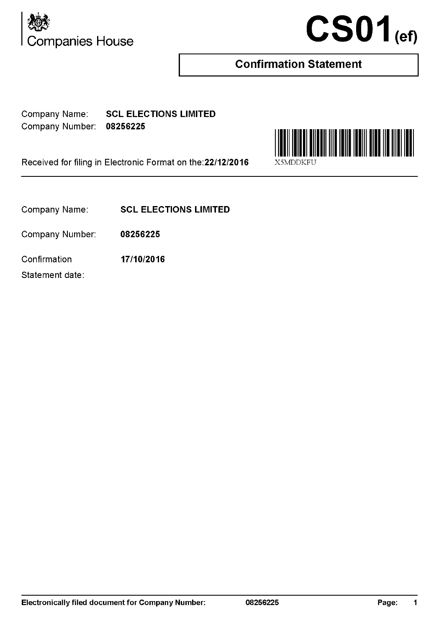



## **Confirmation Statement**

Company Name: SCL ELECTIONS LIMITED Company Number: 08256225

Received for filing in Electronic Format on the: 22/12/2016

Company Name: SCL ELECTIONS LIMITED

Company Number: 08256225

Confirmation 17/10/2016

Statement date:

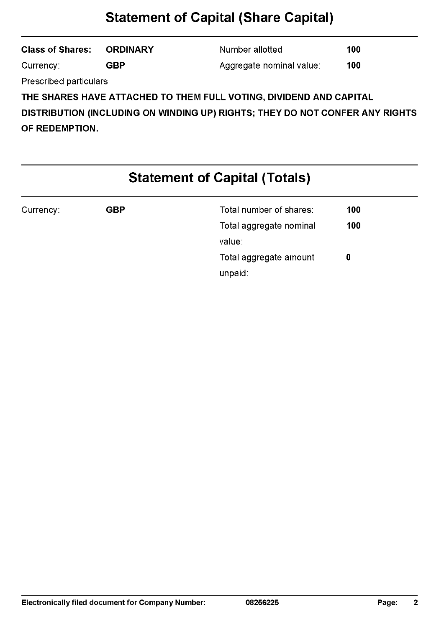## **Statement of Capital (Share Capital)**

| <b>Class of Shares: ORDINARY</b>                                             |     | Number allotted          | 100 |
|------------------------------------------------------------------------------|-----|--------------------------|-----|
| Currency:                                                                    | GBP | Aggregate nominal value: | 100 |
| <b>Prescribed particulars</b>                                                |     |                          |     |
| THE SHARES HAVE ATTACHED TO THEM FULL VOTING, DIVIDEND AND CAPITAL           |     |                          |     |
|                                                                              |     |                          |     |
| DISTRIBUTION (INCLUDING ON WINDING UP) RIGHTS; THEY DO NOT CONFER ANY RIGHTS |     |                          |     |

OF REDEMPTION.

# **Statement of Capital (Totals)**

| Currency: | GBP | Total number of shares: | 100 |  |
|-----------|-----|-------------------------|-----|--|
|           |     | Total aggregate nominal | 100 |  |
|           |     | value:                  |     |  |
|           |     | Total aggregate amount  | 0   |  |
|           |     | unpaid:                 |     |  |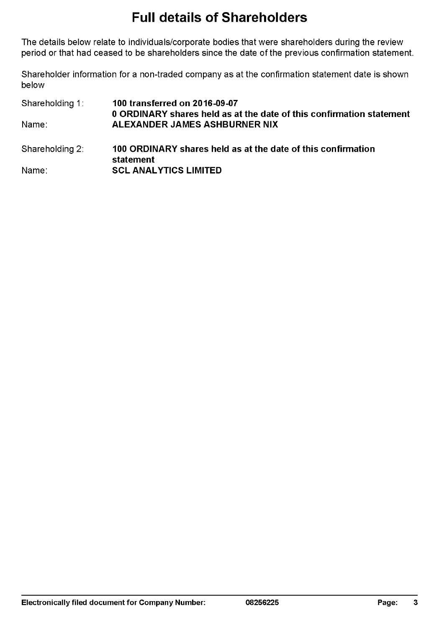## **Full details of Shareholders**

The details below relate to individuals/corporate bodies that were shareholders during the review period or that had ceased to be shareholders since the date of the previous confirmation statement.

Shareholder information for a non-traded company as at the confirmation statement date is shown below

Shareholding 1: Name: Shareholding 2: Name: 100 transferred on 2016-09-07 0 ORDINARY shares held as at the date of this confirmation statement ALEXANDER JAMES ASHBURNER NIX 100 ORDINARY shares held as at the date of this confirmation statement **SCL ANALYTICS LIMITED**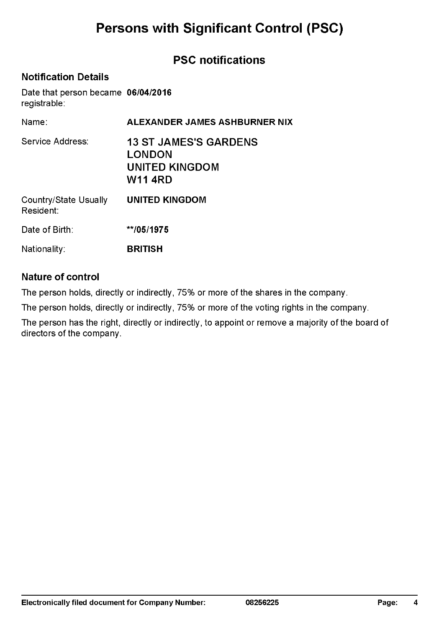## **Persons with Significant Control (PSC)**

### **PSC notifications**

### **Notification Details**

Date that person became **06/04/2016**  registrable:

| Name:                              | ALEXANDER JAMES ASHBURNER NIX                                                     |
|------------------------------------|-----------------------------------------------------------------------------------|
| Service Address:                   | <b>13 ST JAMES'S GARDENS</b><br><b>LONDON</b><br>UNITED KINGDOM<br><b>W11 4RD</b> |
| Country/State Usually<br>Resident: | <b>UNITED KINGDOM</b>                                                             |
| Date of Birth:                     | **/05/1975                                                                        |
| Nationality:                       | <b>BRITISH</b>                                                                    |

### **Nature of control**

The person holds, directly or indirectly, 75% or more of the shares in the company.

The person holds, directly or indirectly, 75% or more of the voting rights in the company.

The person has the right, directly or indirectly, to appoint or remove a majority of the board of directors of the company.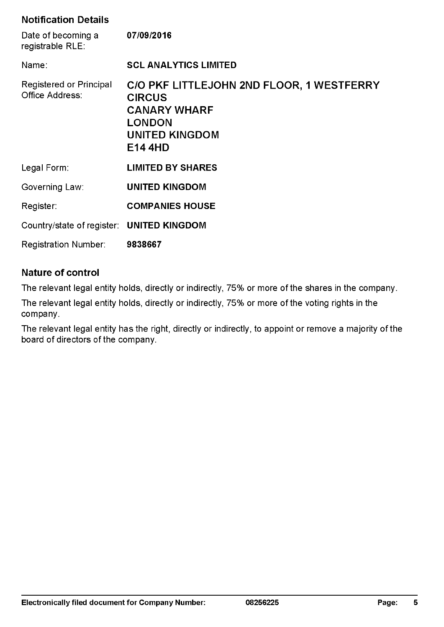### **Notification Details**

| Date of becoming a<br>registrable RLE:     | 07/09/2016                                                                                                                                    |
|--------------------------------------------|-----------------------------------------------------------------------------------------------------------------------------------------------|
| Name:                                      | <b>SCL ANALYTICS LIMITED</b>                                                                                                                  |
| Registered or Principal<br>Office Address: | C/O PKF LITTLEJOHN 2ND FLOOR, 1 WESTFERRY<br><b>CIRCUS</b><br><b>CANARY WHARF</b><br><b>LONDON</b><br><b>UNITED KINGDOM</b><br><b>E14 4HD</b> |
| Legal Form:                                | <b>LIMITED BY SHARES</b>                                                                                                                      |
| Governing Law:                             | <b>UNITED KINGDOM</b>                                                                                                                         |
| Register:                                  | <b>COMPANIES HOUSE</b>                                                                                                                        |
| Country/state of register: UNITED KINGDOM  |                                                                                                                                               |
| <b>Registration Number:</b>                | 9838667                                                                                                                                       |

### **Nature of control**

The relevant legal entity holds, directly or indirectly, 75% or more of the shares in the company.

The relevant legal entity holds, directly or indirectly, 75% or more of the voting rights in the company.

The relevant legal entity has the right, directly or indirectly, to appoint or remove a majority of the board of directors of the company.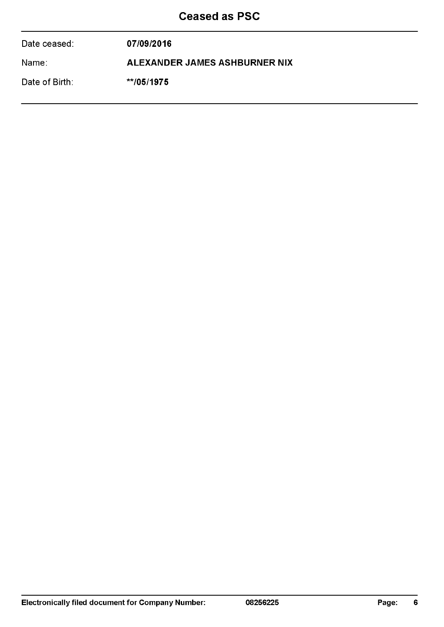## Ceased as PSC

| Date ceased:   | 07/09/2016                    |
|----------------|-------------------------------|
| Name:          | ALEXANDER JAMES ASHBURNER NIX |
| Date of Birth: | $*$ /05/1975                  |
|                |                               |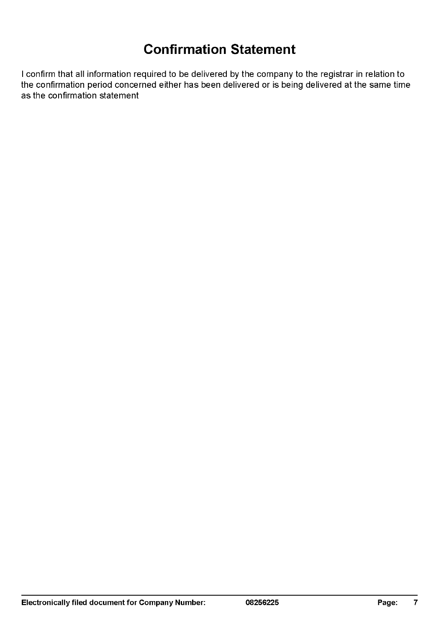## **Confirmation Statement**

I confirm that all information required to be delivered by the company to the registrar in relation to the confirmation period concerned either has been delivered or is being delivered at the same time as the confirmation statement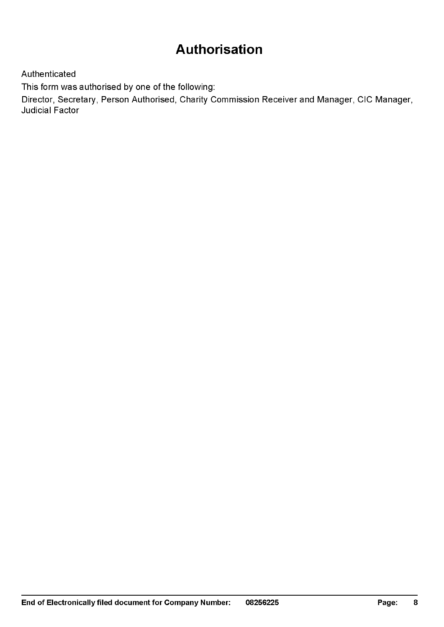## **Authorisation**

Authenticated

This form was authorised by one of the following:

Director, Secretary, Person Authorised, Charity Commission Receiver and Manager, CIC Manager, Judicial Factor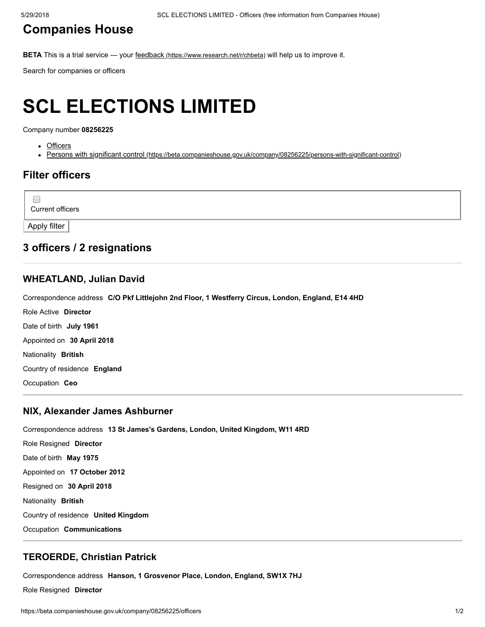### [Companies](https://beta.companieshouse.gov.uk/) House

BETA This is a trial service — your feedback [\(https://www.research.net/r/chbeta\)](https://www.research.net/r/chbeta) will help us to improve it.

Search for companies or officers

# SCL ELECTIONS LIMITED

Company number 08256225

- Officers
- Persons with significant control [\(https://beta.companieshouse.gov.uk/company/08256225/persons-with-significant-control\)](https://beta.companieshouse.gov.uk/company/08256225/persons-with-significant-control)

### Filter officers

Current officers

Apply filter

 $\Box$ 

### 3 officers / 2 resignations

### [WHEATLAND, Julian David](https://beta.companieshouse.gov.uk/officers/hvyCzVBNN2CA8PSiOQFLbwm8BGo/appointments)

Correspondence address C/O Pkf Littlejohn 2nd Floor, 1 Westferry Circus, London, England, E14 4HD

Role Active Director Date of birth July 1961 Appointed on 30 April 2018 Nationality British Country of residence England

Occupation Ceo

### [NIX, Alexander James Ashburner](https://beta.companieshouse.gov.uk/officers/YEplkqBMfc6Rp3dbPs57pN3aqO4/appointments)

Correspondence address 13 St James's Gardens, London, United Kingdom, W11 4RD Role Resigned Director Date of birth May 1975 Appointed on 17 October 2012 Resigned on 30 April 2018 Nationality British Country of residence United Kingdom Occupation Communications

### [TEROERDE, Christian Patrick](https://beta.companieshouse.gov.uk/officers/cTc4zJSefKT91rirAx-Er1-3Iko/appointments)

Correspondence address Hanson, 1 Grosvenor Place, London, England, SW1X 7HJ

Role Resigned Director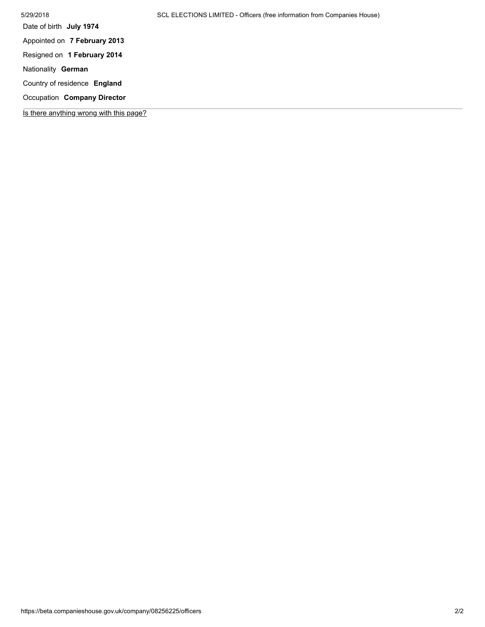| 5/29/2018                               | SCL ELECTIONS LIMITED - Officers (free information from Companies House) |
|-----------------------------------------|--------------------------------------------------------------------------|
| Date of birth July 1974                 |                                                                          |
| Appointed on 7 February 2013            |                                                                          |
| Resigned on 1 February 2014             |                                                                          |
| Nationality German                      |                                                                          |
| Country of residence England            |                                                                          |
| Occupation Company Director             |                                                                          |
| Is there anything wrong with this page? |                                                                          |